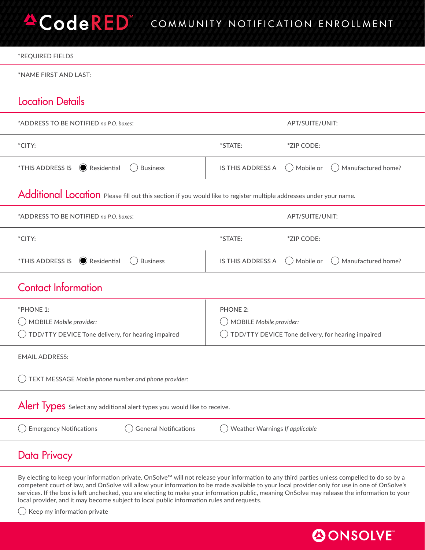## **ACodeRED** COMMUNITY NOTIFICATION ENROLLMENT

| *REQUIRED FIELDS                                                                                                   |                                                      |
|--------------------------------------------------------------------------------------------------------------------|------------------------------------------------------|
| *NAME FIRST AND LAST:                                                                                              |                                                      |
| <b>Location Details</b>                                                                                            |                                                      |
| *ADDRESS TO BE NOTIFIED no P.O. boxes:                                                                             | APT/SUITE/UNIT:                                      |
| *CITY:                                                                                                             | *STATE:<br>*ZIP CODE:                                |
| $\odot$ Residential<br><i><b>*THIS ADDRESS IS</b></i><br><b>Business</b>                                           | Mobile or<br>IS THIS ADDRESS A<br>Manufactured home? |
| Additional Location Please fill out this section if you would like to register multiple addresses under your name. |                                                      |
| *ADDRESS TO BE NOTIFIED no P.O. boxes:                                                                             | APT/SUITE/UNIT:                                      |
| *CITY:                                                                                                             | *STATE:<br>*ZIP CODE:                                |
| $\odot$ Residential<br><i><b>*THIS ADDRESS IS</b></i><br><b>Business</b>                                           | Manufactured home?<br>IS THIS ADDRESS A<br>Mobile or |
| <b>Contact Information</b>                                                                                         |                                                      |
| *PHONE 1:                                                                                                          | <b>PHONE 2:</b>                                      |
| MOBILE Mobile provider:                                                                                            | MOBILE Mobile provider:                              |
| TDD/TTY DEVICE Tone delivery, for hearing impaired                                                                 | TDD/TTY DEVICE Tone delivery, for hearing impaired   |
| <b>EMAIL ADDRESS:</b>                                                                                              |                                                      |
| TEXT MESSAGE Mobile phone number and phone provider:                                                               |                                                      |
| Alert Types Select any additional alert types you would like to receive.                                           |                                                      |
| <b>General Notifications</b><br><b>Emergency Notifications</b>                                                     | Weather Warnings If applicable                       |
| Data Privacy                                                                                                       |                                                      |

By electing to keep your information private, OnSolve™ will not release your information to any third parties unless compelled to do so by a competent court of law, and OnSolve will allow your information to be made available to your local provider only for use in one of OnSolve's services. If the box is left unchecked, you are electing to make your information public, meaning OnSolve may release the information to your local provider, and it may become subject to local public information rules and requests. 

 $\bigcirc$  Keep my information private